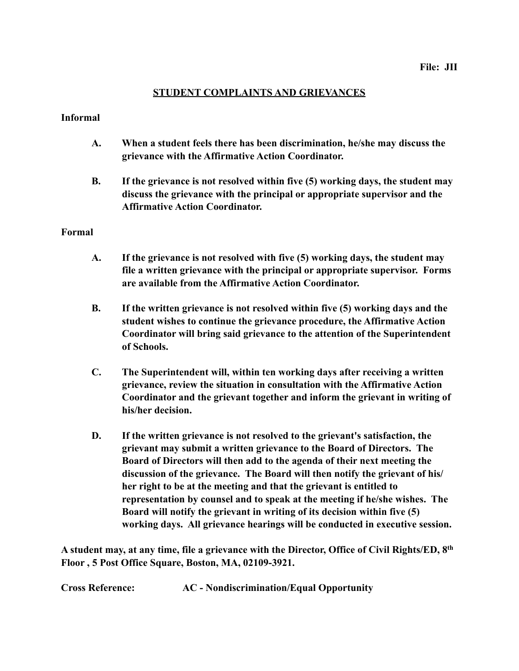## **STUDENT COMPLAINTS AND GRIEVANCES**

## **Informal**

- **A. When a student feels there has been discrimination, he/she may discuss the grievance with the Affirmative Action Coordinator.**
- **B. If the grievance is not resolved within five (5) working days, the student may discuss the grievance with the principal or appropriate supervisor and the Affirmative Action Coordinator.**

## **Formal**

- **A. If the grievance is not resolved with five (5) working days, the student may file a written grievance with the principal or appropriate supervisor. Forms are available from the Affirmative Action Coordinator.**
- **B. If the written grievance is not resolved within five (5) working days and the student wishes to continue the grievance procedure, the Affirmative Action Coordinator will bring said grievance to the attention of the Superintendent of Schools.**
- **C. The Superintendent will, within ten working days after receiving a written grievance, review the situation in consultation with the Affirmative Action Coordinator and the grievant together and inform the grievant in writing of his/her decision.**
- **D. If the written grievance is not resolved to the grievant's satisfaction, the grievant may submit a written grievance to the Board of Directors. The Board of Directors will then add to the agenda of their next meeting the discussion of the grievance. The Board will then notify the grievant of his/ her right to be at the meeting and that the grievant is entitled to representation by counsel and to speak at the meeting if he/she wishes. The Board will notify the grievant in writing of its decision within five (5) working days. All grievance hearings will be conducted in executive session.**

**A student may, at any time, file a grievance with the Director, Office of Civil Rights/ED, 8th Floor , 5 Post Office Square, Boston, MA, 02109-3921.**

**Cross Reference: AC - Nondiscrimination/Equal Opportunity**